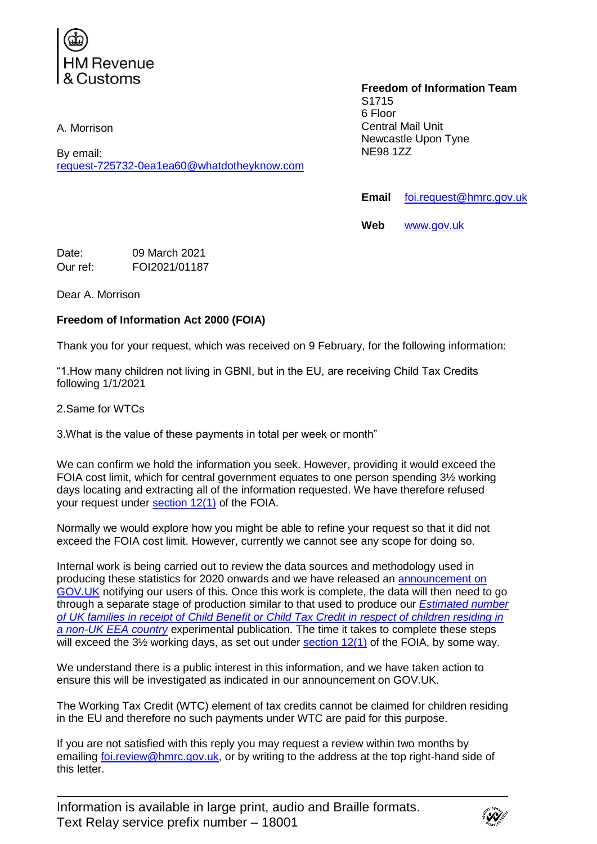

A. Morrison

By email: [request-725732-0ea1ea60@whatdotheyknow.com](mailto:xxxxxxxxxxxxxxxxxxxxxxx@xxxxxxxxxxxxxx.xxx)

## **Freedom of Information Team** S1715 6 Floor Central Mail Unit Newcastle Upon Tyne NE98 1ZZ

**Email** [foi.request@hmrc.gov.uk](mailto:xxx.xxxxxxx@xxxx.xxx.xx)

**Web** [www.gov.uk](http://www.gov.uk/)

Date: 09 March 2021 Our ref: FOI2021/01187

Dear A. Morrison

## **Freedom of Information Act 2000 (FOIA)**

Thank you for your request, which was received on 9 February, for the following information:

"1.How many children not living in GBNI, but in the EU, are receiving Child Tax Credits following 1/1/2021

2.Same for WTCs

3.What is the value of these payments in total per week or month"

We can confirm we hold the information you seek. However, providing it would exceed the FOIA cost limit, which for central government equates to one person spending 3½ working days locating and extracting all of the information requested. We have therefore refused your request under [section 12\(1\)](http://www.legislation.gov.uk/ukpga/2000/36/section/12) of the FOIA.

Normally we would explore how you might be able to refine your request so that it did not exceed the FOIA cost limit. However, currently we cannot see any scope for doing so.

Internal work is being carried out to review the data sources and methodology used in producing these statistics for 2020 onwards and we have released an [announcement on](https://www.gov.uk/government/statistics/announcements/child-benefit-or-child-tax-credit-estimates-for-children-residing-in-a-non-uk-eea-country?cachebust=15960284)  [GOV.UK](https://www.gov.uk/government/statistics/announcements/child-benefit-or-child-tax-credit-estimates-for-children-residing-in-a-non-uk-eea-country?cachebust=15960284) notifying our users of this. Once this work is complete, the data will then need to go through a separate stage of production similar to that used to produce our *[Estimated number](https://assets.publishing.service.gov.uk/government/uploads/system/uploads/attachment_data/file/826712/Child_Benefit_or_Child_Tax_Credit_estimates_for_children_residing_in_a_non-UK_EEA_country_-_February_2019.pdf)  [of UK families in receipt of Child Benefit or Child Tax Credit in respect of children residing in](https://assets.publishing.service.gov.uk/government/uploads/system/uploads/attachment_data/file/826712/Child_Benefit_or_Child_Tax_Credit_estimates_for_children_residing_in_a_non-UK_EEA_country_-_February_2019.pdf)  [a non-UK EEA country](https://assets.publishing.service.gov.uk/government/uploads/system/uploads/attachment_data/file/826712/Child_Benefit_or_Child_Tax_Credit_estimates_for_children_residing_in_a_non-UK_EEA_country_-_February_2019.pdf)* experimental publication. The time it takes to complete these steps will exceed the  $3\frac{1}{2}$  working days, as set out under section  $12(1)$  of the FOIA, by some way.

We understand there is a public interest in this information, and we have taken action to ensure this will be investigated as indicated in our announcement on GOV.UK.

The Working Tax Credit (WTC) element of tax credits cannot be claimed for children residing in the EU and therefore no such payments under WTC are paid for this purpose.

If you are not satisfied with this reply you may request a review within two months by emailing [foi.review@hmrc.gov.uk,](mailto:xxx.xxxxxx@xxxx.xxx.xx) or by writing to the address at the top right-hand side of this letter.